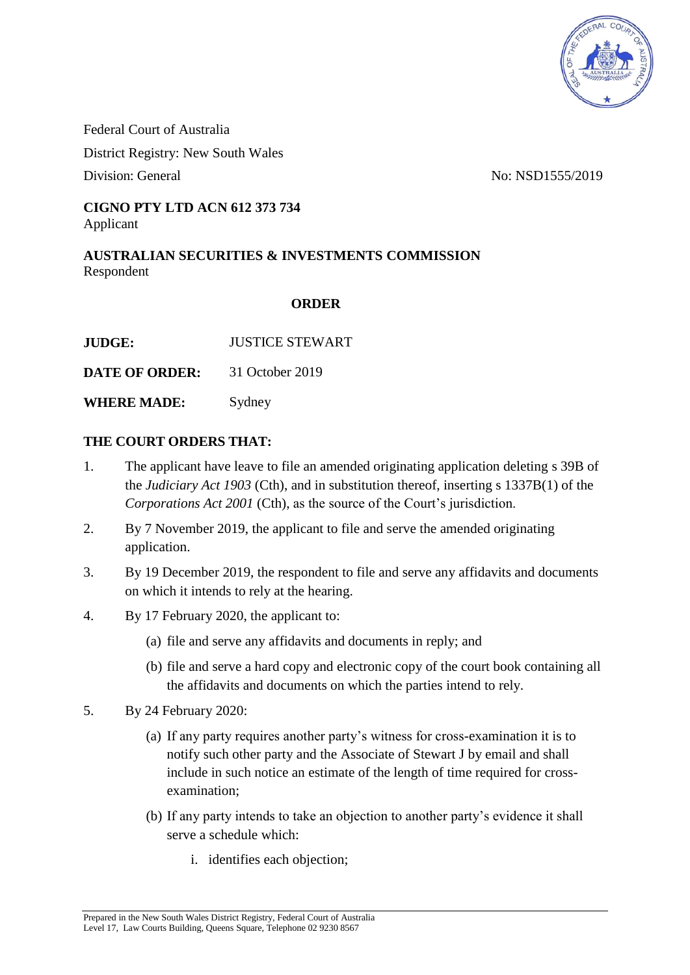

Federal Court of Australia District Registry: New South Wales Division: General No: NSD1555/2019

## **CIGNO PTY LTD ACN 612 373 734** Applicant

**AUSTRALIAN SECURITIES & INVESTMENTS COMMISSION** Respondent

## **ORDER**

**JUDGE:** JUSTICE STEWART

**DATE OF ORDER:** 31 October 2019

**WHERE MADE:** Sydney

## **THE COURT ORDERS THAT:**

- 1. The applicant have leave to file an amended originating application deleting s 39B of the *Judiciary Act 1903* (Cth), and in substitution thereof, inserting s 1337B(1) of the *Corporations Act 2001* (Cth), as the source of the Court's jurisdiction.
- 2. By 7 November 2019, the applicant to file and serve the amended originating application.
- 3. By 19 December 2019, the respondent to file and serve any affidavits and documents on which it intends to rely at the hearing.
- 4. By 17 February 2020, the applicant to:
	- (a) file and serve any affidavits and documents in reply; and
	- (b) file and serve a hard copy and electronic copy of the court book containing all the affidavits and documents on which the parties intend to rely.
- 5. By 24 February 2020:
	- (a) If any party requires another party's witness for cross-examination it is to notify such other party and the Associate of Stewart J by email and shall include in such notice an estimate of the length of time required for crossexamination;
	- (b) If any party intends to take an objection to another party's evidence it shall serve a schedule which:
		- i. identifies each objection;